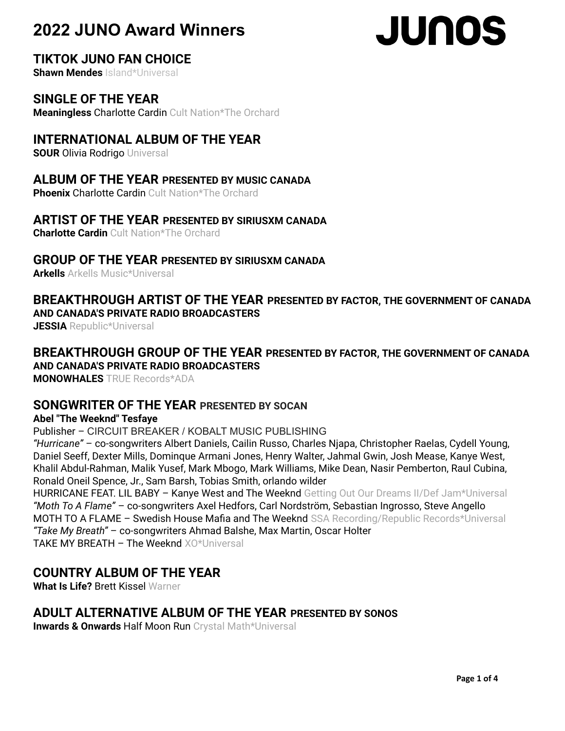# **JUNOS**

# **TIKTOK JUNO FAN CHOICE**

**Shawn Mendes** Island\*Universal

# **SINGLE OF THE YEAR**

**Meaningless** Charlotte Cardin Cult Nation\*The Orchard

# **INTERNATIONAL ALBUM OF THE YEAR**

**SOUR Olivia Rodrigo Universal** 

# **ALBUM OF THE YEAR PRESENTED BY MUSIC CANADA**

**Phoenix Charlotte Cardin Cult Nation\*The Orchard** 

# **ARTIST OF THE YEAR PRESENTED BY SIRIUSXM CANADA**

**Charlotte Cardin** Cult Nation\*The Orchard

## **GROUP OF THE YEAR PRESENTED BY SIRIUSXM CANADA**

**Arkells** Arkells Music\*Universal

### **BREAKTHROUGH ARTIST OF THE YEAR PRESENTED BY FACTOR, THE GOVERNMENT OF CANADA AND CANADA'S PRIVATE RADIO BROADCASTERS**

**JESSIA** Republic\*Universal

#### **BREAKTHROUGH GROUP OF THE YEAR PRESENTED BY FACTOR, THE GOVERNMENT OF CANADA AND CANADA'S PRIVATE RADIO BROADCASTERS**

**MONOWHALES** TRUE Records\*ADA

### **SONGWRITER OF THE YEAR PRESENTED BY SOCAN**

#### **Abel "The Weeknd" Tesfaye**

Publisher – CIRCUIT BREAKER / KOBALT MUSIC PUBLISHING

*"Hurricane"* – co-songwriters Albert Daniels, Cailin Russo, Charles Njapa, Christopher Raelas, Cydell Young, Daniel Seeff, Dexter Mills, Dominque Armani Jones, Henry Walter, Jahmal Gwin, Josh Mease, Kanye West, Khalil Abdul-Rahman, Malik Yusef, Mark Mbogo, Mark Williams, Mike Dean, Nasir Pemberton, Raul Cubina, Ronald Oneil Spence, Jr., Sam Barsh, Tobias Smith, orlando wilder

HURRICANE FEAT. LIL BABY - Kanye West and The Weeknd Getting Out Our Dreams II/Def Jam\*Universal *"Moth To A Flame"* – co-songwriters Axel Hedfors, Carl Nordström, Sebastian Ingrosso, Steve Angello MOTH TO A FLAME - Swedish House Mafia and The Weeknd SSA Recording/Republic Records\*Universal *"Take My Breath"* – co-songwriters Ahmad Balshe, Max Martin, Oscar Holter TAKE MY BREATH – The Weeknd XO\*Universal

# **COUNTRY ALBUM OF THE YEAR**

**What Is Life?** Brett Kissel Warner

# **ADULT ALTERNATIVE ALBUM OF THE YEAR PRESENTED BY SONOS**

**Inwards & Onwards** Half Moon Run Crystal Math\*Universal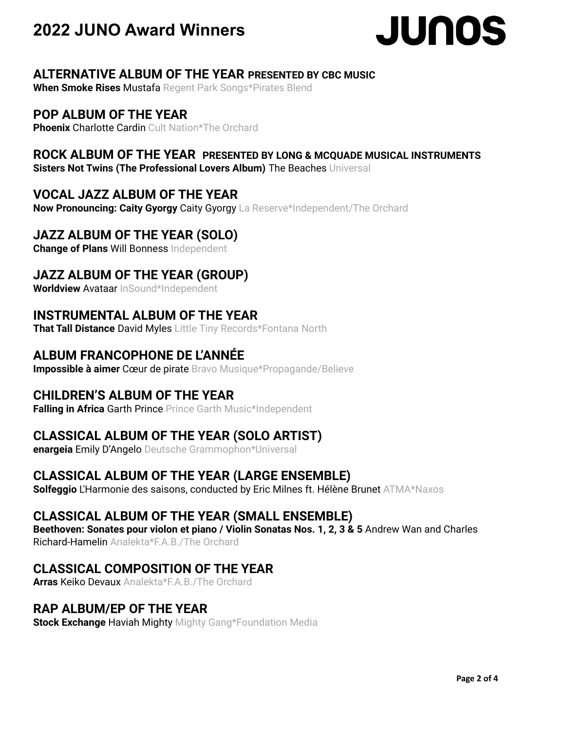

# **ALTERNATIVE ALBUM OF THE YEAR PRESENTED BY CBC MUSIC**

**When Smoke Rises** Mustafa Regent Park Songs\*Pirates Blend

# **POP ALBUM OF THE YEAR**

**Phoenix Charlotte Cardin Cult Nation\*The Orchard** 

# **ROCK ALBUM OF THE YEAR PRESENTED BY LONG & MCQUADE MUSICAL INSTRUMENTS**

**Sisters Not Twins (The Professional Lovers Album)** The Beaches Universal

# **VOCAL JAZZ ALBUM OF THE YEAR**

**Now Pronouncing: Caity Gyorgy** Caity Gyorgy La Reserve\*Independent/The Orchard

# **JAZZ ALBUM OF THE YEAR (SOLO)**

**Change of Plans** Will Bonness Independent

# **JAZZ ALBUM OF THE YEAR (GROUP)**

**Worldview** Avataar InSound\*Independent

# **INSTRUMENTAL ALBUM OF THE YEAR**

**That Tall Distance** David Myles Little Tiny Records\*Fontana North

# **ALBUM FRANCOPHONE DE L'ANNÉE**

**Impossible à aimer** Cœur de pirate Bravo Musique\*Propagande/Believe

# **CHILDREN'S ALBUM OF THE YEAR**

**Falling in Africa** Garth Prince Prince Garth Music\*Independent

# **CLASSICAL ALBUM OF THE YEAR (SOLO ARTIST)**

**enargeia** Emily D'Angelo Deutsche Grammophon\*Universal

# **CLASSICAL ALBUM OF THE YEAR (LARGE ENSEMBLE)**

**Solfeggio** L'Harmonie des saisons, conducted by Eric Milnes ft. Hélène Brunet ATMA\*Naxos

# **CLASSICAL ALBUM OF THE YEAR (SMALL ENSEMBLE)**

**Beethoven: Sonates pour violon et piano / Violin Sonatas Nos. 1, 2, 3 & 5** Andrew Wan and Charles Richard-Hamelin Analekta\*F A.B./The Orchard

# **CLASSICAL COMPOSITION OF THE YEAR**

**Arras** Keiko Devaux Analekta\*F.A.B./The Orchard

## **RAP ALBUM/EP OF THE YEAR**

**Stock Exchange** Haviah Mighty Mighty Gang\*Foundation Media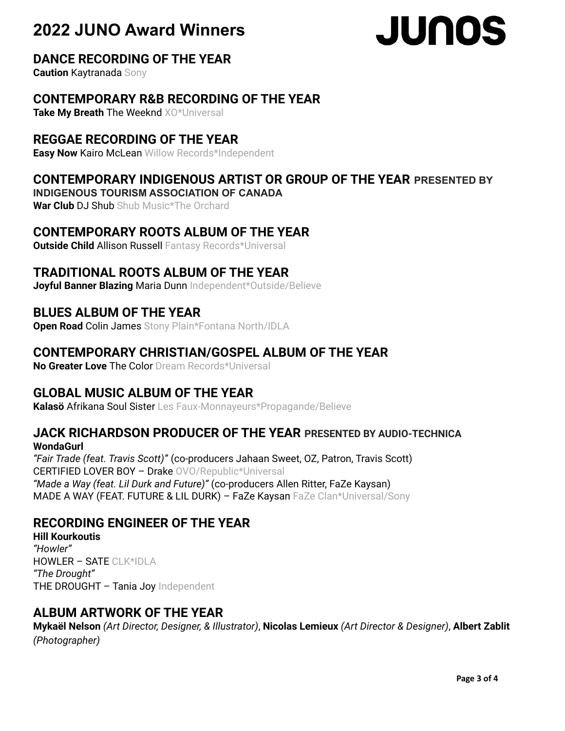# **JUNOS**

# **DANCE RECORDING OF THE YEAR**

**Caution** Kaytranada Sony

# **CONTEMPORARY R&B RECORDING OF THE YEAR**

**Take My Breath** The Weeknd XO\*Universal

# **REGGAE RECORDING OF THE YEAR**

**Easy Now** Kairo McLean Willow Records\*Independent

# **CONTEMPORARY INDIGENOUS ARTIST OR GROUP OF THE YEAR PRESENTED BY**

**INDIGENOUS TOURISM ASSOCIATION OF CANADA**

**War Club** DJ Shub Shub Music\*The Orchard

# **CONTEMPORARY ROOTS ALBUM OF THE YEAR**

**Outside Child** Allison Russell Fantasy Records\*Universal

# **TRADITIONAL ROOTS ALBUM OF THE YEAR**

**Joyful Banner Blazing** Maria Dunn Independent\*Outside/Believe

# **BLUES ALBUM OF THE YEAR**

**Open Road** Colin James Stony Plain\*Fontana North/IDLA

# **CONTEMPORARY CHRISTIAN/GOSPEL ALBUM OF THE YEAR**

**No Greater Love** The Color Dream Records\*Universal

# **GLOBAL MUSIC ALBUM OF THE YEAR**

**Kalasö** Afrikana Soul Sister Les Faux-Monnayeurs\*Propagande/Believe

### **JACK RICHARDSON PRODUCER OF THE YEAR PRESENTED BY AUDIO-TECHNICA WondaGurl**

*"Fair Trade (feat. Travis Scott)"* (co-producers Jahaan Sweet, OZ, Patron, Travis Scott) CERTIFIED LOVER BOY – Drake OVO/Republic\*Universal *"Made a Way (feat. Lil Durk and Future)"* (co-producers Allen Ritter, FaZe Kaysan) MADE A WAY (FEAT. FUTURE & LIL DURK) - FaZe Kaysan FaZe Clan\*Universal/Sony

# **RECORDING ENGINEER OF THE YEAR**

**Hill Kourkoutis** *"Howler"* HOWLER – SATE CLK\*IDLA *"The Drought"* THE DROUGHT - Tania Joy Independent

# **ALBUM ARTWORK OF THE YEAR**

**Mykaël Nelson** *(Art Director, Designer, & Illustrator)*, **Nicolas Lemieux** *(Art Director & Designer)*, **Albert Zablit** *(Photographer)*